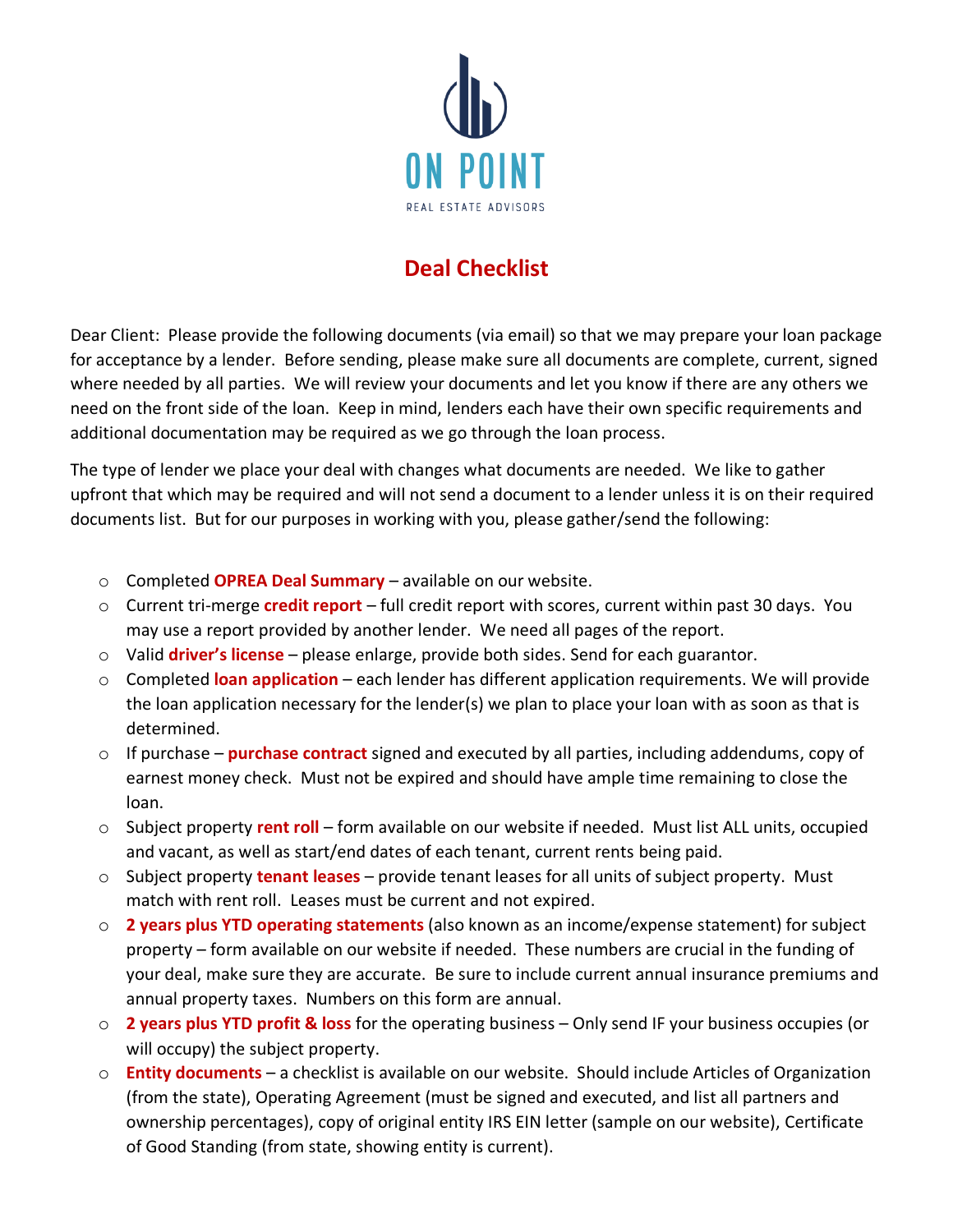

## **Deal Checklist**

Dear Client: Please provide the following documents (via email) so that we may prepare your loan package for acceptance by a lender. Before sending, please make sure all documents are complete, current, signed where needed by all parties. We will review your documents and let you know if there are any others we need on the front side of the loan. Keep in mind, lenders each have their own specific requirements and additional documentation may be required as we go through the loan process.

The type of lender we place your deal with changes what documents are needed. We like to gather upfront that which may be required and will not send a document to a lender unless it is on their required documents list. But for our purposes in working with you, please gather/send the following:

- o Completed **OPREA Deal Summary** available on our website.
- o Current tri-merge **credit report** full credit report with scores, current within past 30 days. You may use a report provided by another lender. We need all pages of the report.
- o Valid **driver's license** please enlarge, provide both sides. Send for each guarantor.
- o Completed **loan application** each lender has different application requirements. We will provide the loan application necessary for the lender(s) we plan to place your loan with as soon as that is determined.
- o If purchase **purchase contract** signed and executed by all parties, including addendums, copy of earnest money check. Must not be expired and should have ample time remaining to close the loan.
- o Subject property **rent roll** form available on our website if needed. Must list ALL units, occupied and vacant, as well as start/end dates of each tenant, current rents being paid.
- o Subject property **tenant leases** provide tenant leases for all units of subject property. Must match with rent roll. Leases must be current and not expired.
- o **2 years plus YTD operating statements** (also known as an income/expense statement) for subject property – form available on our website if needed. These numbers are crucial in the funding of your deal, make sure they are accurate. Be sure to include current annual insurance premiums and annual property taxes. Numbers on this form are annual.
- o **2 years plus YTD profit & loss** for the operating business Only send IF your business occupies (or will occupy) the subject property.
- o **Entity documents** a checklist is available on our website. Should include Articles of Organization (from the state), Operating Agreement (must be signed and executed, and list all partners and ownership percentages), copy of original entity IRS EIN letter (sample on our website), Certificate of Good Standing (from state, showing entity is current).